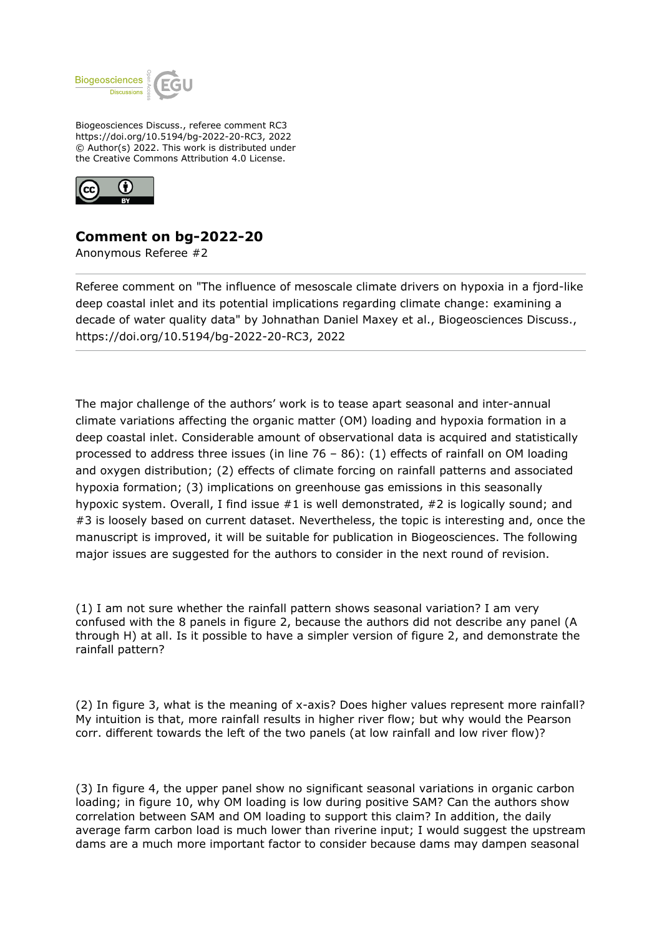

Biogeosciences Discuss., referee comment RC3 https://doi.org/10.5194/bg-2022-20-RC3, 2022 © Author(s) 2022. This work is distributed under the Creative Commons Attribution 4.0 License.



## **Comment on bg-2022-20**

Anonymous Referee #2

Referee comment on "The influence of mesoscale climate drivers on hypoxia in a fjord-like deep coastal inlet and its potential implications regarding climate change: examining a decade of water quality data" by Johnathan Daniel Maxey et al., Biogeosciences Discuss., https://doi.org/10.5194/bg-2022-20-RC3, 2022

The major challenge of the authors' work is to tease apart seasonal and inter-annual climate variations affecting the organic matter (OM) loading and hypoxia formation in a deep coastal inlet. Considerable amount of observational data is acquired and statistically processed to address three issues (in line  $76 - 86$ ): (1) effects of rainfall on OM loading and oxygen distribution; (2) effects of climate forcing on rainfall patterns and associated hypoxia formation; (3) implications on greenhouse gas emissions in this seasonally hypoxic system. Overall, I find issue #1 is well demonstrated, #2 is logically sound; and #3 is loosely based on current dataset. Nevertheless, the topic is interesting and, once the manuscript is improved, it will be suitable for publication in Biogeosciences. The following major issues are suggested for the authors to consider in the next round of revision.

(1) I am not sure whether the rainfall pattern shows seasonal variation? I am very confused with the 8 panels in figure 2, because the authors did not describe any panel (A through H) at all. Is it possible to have a simpler version of figure 2, and demonstrate the rainfall pattern?

(2) In figure 3, what is the meaning of x-axis? Does higher values represent more rainfall? My intuition is that, more rainfall results in higher river flow; but why would the Pearson corr. different towards the left of the two panels (at low rainfall and low river flow)?

(3) In figure 4, the upper panel show no significant seasonal variations in organic carbon loading; in figure 10, why OM loading is low during positive SAM? Can the authors show correlation between SAM and OM loading to support this claim? In addition, the daily average farm carbon load is much lower than riverine input; I would suggest the upstream dams are a much more important factor to consider because dams may dampen seasonal